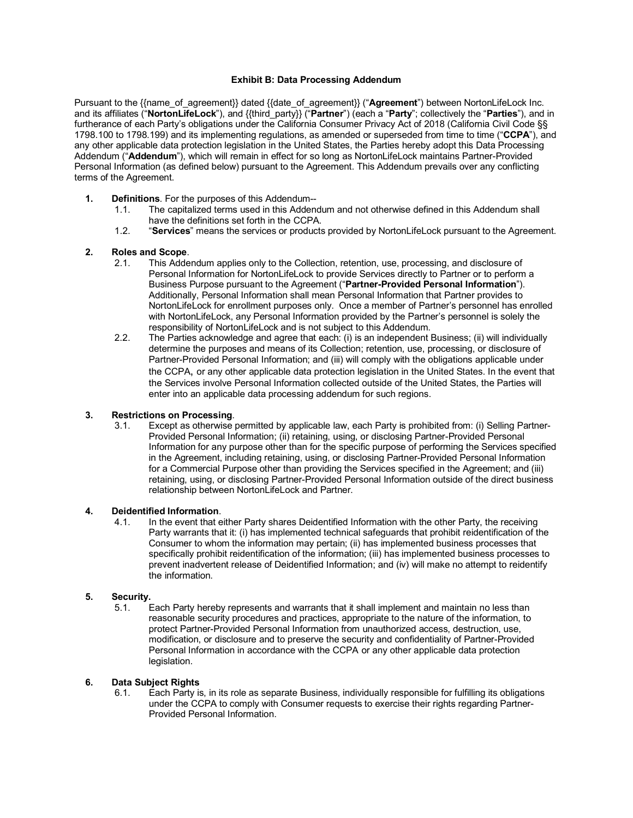#### **Exhibit B: Data Processing Addendum**

Pursuant to the {{name\_of\_agreement}} dated {{date\_of\_agreement}} ("**Agreement**") between NortonLifeLock Inc. and its affiliates ("**NortonLifeLock**"), and {{third\_party}} ("**Partner**") (each a "**Party**"; collectively the "**Parties**"), and in furtherance of each Party's obligations under the California Consumer Privacy Act of 2018 (California Civil Code §§ 1798.100 to 1798.199) and its implementing regulations, as amended or superseded from time to time ("**CCPA**"), and any other applicable data protection legislation in the United States, the Parties hereby adopt this Data Processing Addendum ("**Addendum**"), which will remain in effect for so long as NortonLifeLock maintains Partner-Provided Personal Information (as defined below) pursuant to the Agreement. This Addendum prevails over any conflicting terms of the Agreement.

- **1. Definitions**. For the purposes of this Addendum--
	- 1.1. The capitalized terms used in this Addendum and not otherwise defined in this Addendum shall have the definitions set forth in the CCPA.
	- 1.2. "**Services**" means the services or products provided by NortonLifeLock pursuant to the Agreement.

## **2. Roles and Scope**.

- 2.1. This Addendum applies only to the Collection, retention, use, processing, and disclosure of Personal Information for NortonLifeLock to provide Services directly to Partner or to perform a Business Purpose pursuant to the Agreement ("**Partner-Provided Personal Information**"). Additionally, Personal Information shall mean Personal Information that Partner provides to NortonLifeLock for enrollment purposes only. Once a member of Partner's personnel has enrolled with NortonLifeLock, any Personal Information provided by the Partner's personnel is solely the responsibility of NortonLifeLock and is not subject to this Addendum.
- 2.2. The Parties acknowledge and agree that each: (i) is an independent Business; (ii) will individually determine the purposes and means of its Collection; retention, use, processing, or disclosure of Partner-Provided Personal Information; and (iii) will comply with the obligations applicable under the CCPA, or any other applicable data protection legislation in the United States. In the event that the Services involve Personal Information collected outside of the United States, the Parties will enter into an applicable data processing addendum for such regions.

## **3. Restrictions on Processing**.

Except as otherwise permitted by applicable law, each Party is prohibited from: (i) Selling Partner-Provided Personal Information; (ii) retaining, using, or disclosing Partner-Provided Personal Information for any purpose other than for the specific purpose of performing the Services specified in the Agreement, including retaining, using, or disclosing Partner-Provided Personal Information for a Commercial Purpose other than providing the Services specified in the Agreement; and (iii) retaining, using, or disclosing Partner-Provided Personal Information outside of the direct business relationship between NortonLifeLock and Partner.

#### **4. Deidentified Information**.

4.1. In the event that either Party shares Deidentified Information with the other Party, the receiving Party warrants that it: (i) has implemented technical safeguards that prohibit reidentification of the Consumer to whom the information may pertain; (ii) has implemented business processes that specifically prohibit reidentification of the information; (iii) has implemented business processes to prevent inadvertent release of Deidentified Information; and (iv) will make no attempt to reidentify the information.

### **5. Security.**

Each Party hereby represents and warrants that it shall implement and maintain no less than reasonable security procedures and practices, appropriate to the nature of the information, to protect Partner-Provided Personal Information from unauthorized access, destruction, use, modification, or disclosure and to preserve the security and confidentiality of Partner-Provided Personal Information in accordance with the CCPA or any other applicable data protection legislation.

## **6. Data Subject Rights**

Each Party is, in its role as separate Business, individually responsible for fulfilling its obligations under the CCPA to comply with Consumer requests to exercise their rights regarding Partner-Provided Personal Information.